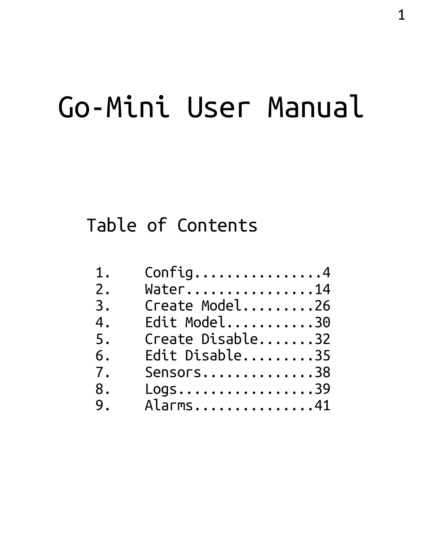# Go-Mini User Manual

# Table of Contents

| 1. | Config4          |
|----|------------------|
| 2. | Water14          |
| 3. | Create Model26   |
| 4. | Edit Model30     |
| 5. | Create Disable32 |
| 6. | Edit Disable35   |
| 7. | Sensors38        |
| 8. | Logs39           |
| 9. | Alarms41         |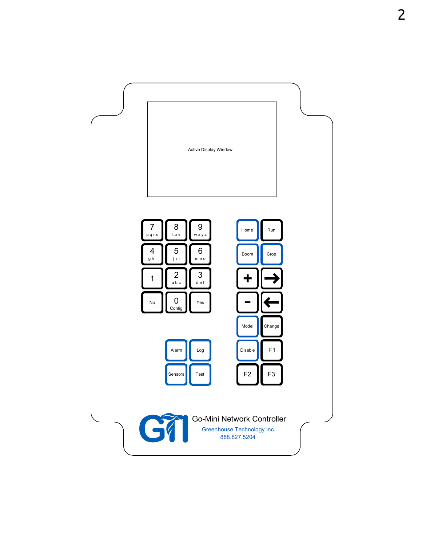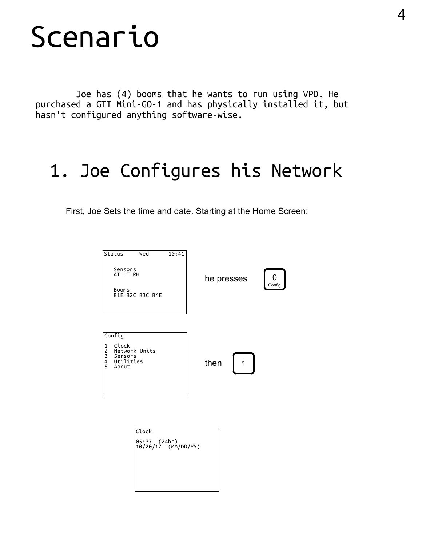# Scenario

 Joe has (4) booms that he wants to run using VPD. He purchased a GTI Mini-GO-1 and has physically installed it, but hasn't configured anything software-wise.

# 1. Joe Configures his Network

First, Joe Sets the time and date. Starting at the Home Screen:



| Clock                               |  |
|-------------------------------------|--|
| 05:37 (24hr)<br>10/20/17 (MM/DD/YY) |  |
|                                     |  |
|                                     |  |
|                                     |  |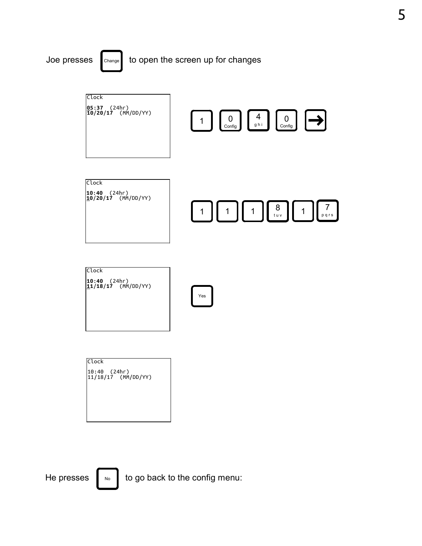

Clock 10:40 (24hr) 11/18/17 (MM/DD/YY)

He presses  $\|\cdot\|_0$  to go back to the config menu: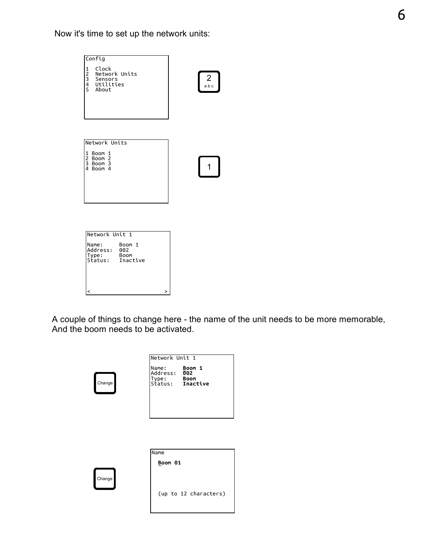Now it's time to set up the network units:



A couple of things to change here - the name of the unit needs to be more memorable, And the boom needs to be activated.

|        | Network Unit 1                                                 |                       |  |
|--------|----------------------------------------------------------------|-----------------------|--|
| Change | Name: Boom 1<br>Address: 002<br>Type: Boom<br>Status: Inactive |                       |  |
|        |                                                                |                       |  |
|        |                                                                |                       |  |
|        | Name                                                           |                       |  |
|        | Boom 01                                                        |                       |  |
| Change |                                                                | (up to 12 characters) |  |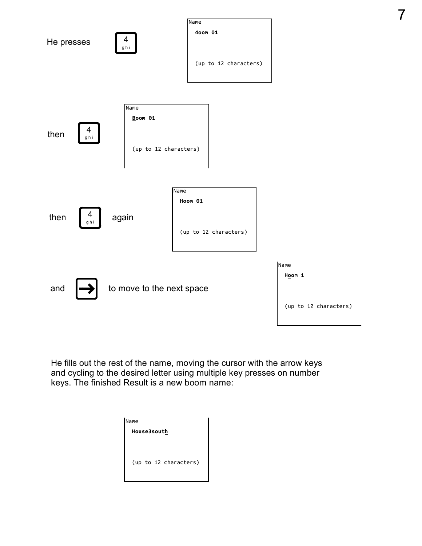

7

He fills out the rest of the name, moving the cursor with the arrow keys and cycling to the desired letter using multiple key presses on number keys. The finished Result is a new boom name:

| <b>I</b> Name         |  |
|-----------------------|--|
| <b>House3south</b>    |  |
|                       |  |
| (up to 12 characters) |  |
|                       |  |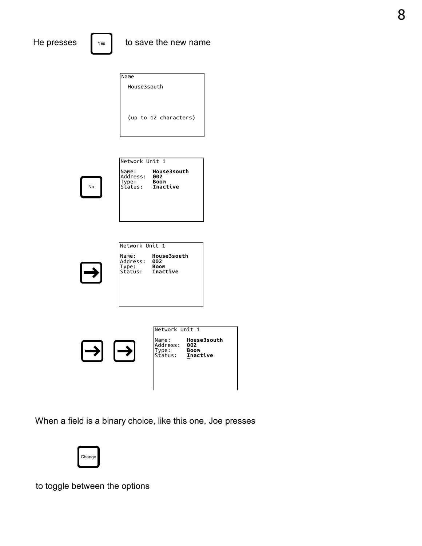Name House3south (up to 12 characters)

No

| <b>INetwork Unit 1</b>                                              |                                   |  |
|---------------------------------------------------------------------|-----------------------------------|--|
| Name:<br>Address:<br> Type: <b>Boom</b><br> Status: <b>Inactive</b> | <b>House3south</b><br>002<br>Boom |  |

| lNetwork Unit 1                        |                                                      |  |
|----------------------------------------|------------------------------------------------------|--|
| lName:<br>Address:<br>Type:<br>Status: | <b>House3south</b><br>002<br><b>Boom</b><br>Inactive |  |



When a field is a binary choice, like this one, Joe presses



to toggle between the options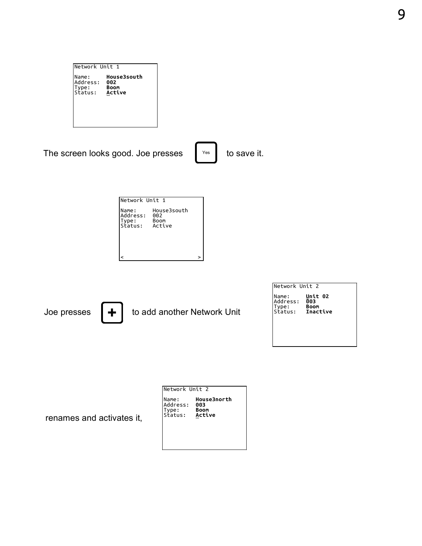| lNetwork Unit 1                      |                                             |  |
|--------------------------------------|---------------------------------------------|--|
| Name:<br>Address:<br>ype:<br>Status: | <b>House3south</b><br>002<br>Boom<br>Active |  |

The screen looks good. Joe presses  $\left\|\right.$   $\right\|$  to save it.

| Network Unit 1                              |                            |  |
|---------------------------------------------|----------------------------|--|
| Name:<br>Address:<br>ype:<br>Status: Active | House3south<br>002<br>Boom |  |
|                                             |                            |  |



Joe presses  $\begin{vmatrix} \mathbf{+} \end{vmatrix}$  to add another Network Unit

| lNetwork Unit 2                       |                                           |  |
|---------------------------------------|-------------------------------------------|--|
| Name:<br>Address:<br>Type:<br>Status: | Unit 02<br>003<br><b>Boom</b><br>Inactive |  |

renames and activates it,

| Network Unit 2                       |                                             |  |
|--------------------------------------|---------------------------------------------|--|
| Name:<br>Address:<br>ype:<br>Status: | <b>House3north</b><br>003<br>Boom<br>Active |  |
|                                      |                                             |  |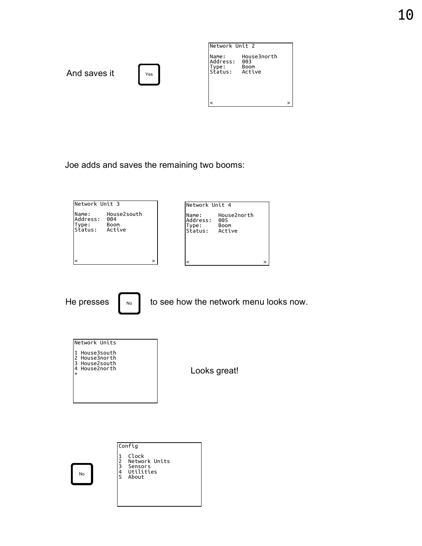

Joe adds and saves the remaining two booms:



He presses  $\begin{bmatrix} \cdots \\ \cdots \end{bmatrix}$  to see how the network menu looks now.



Looks great!

No Config 1 Clock<br>2 Networ<br>3 Senson<br>4 Utilit<br>5 About Network Units 3 Sensors 4 Utilities 5 About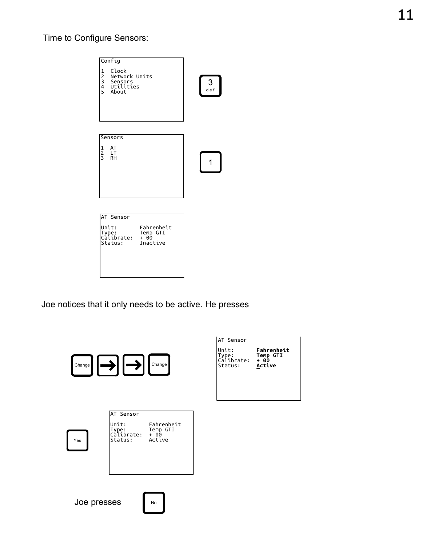#### Time to Configure Sensors:



Joe notices that it only needs to be active. He presses

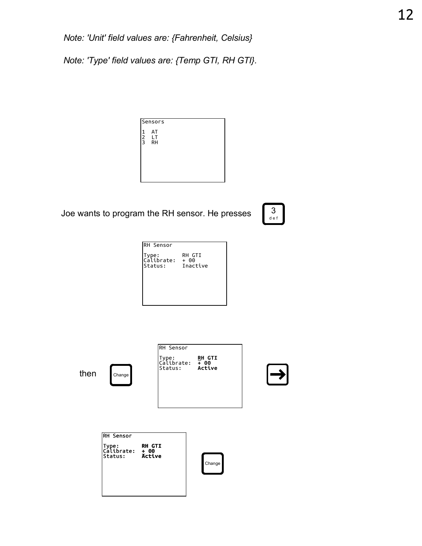Note: 'Unit' field values are: {Fahrenheit, Celsius}

Note: 'Type' field values are: {Temp GTI, RH GTI}.



Joe wants to program the RH sensor. He presses



| <b>RH Sensor</b>                                             |        |  |
|--------------------------------------------------------------|--------|--|
| Type:         RH G<br> Calibrate:  + 00<br> Status: Inactive | RH GTI |  |

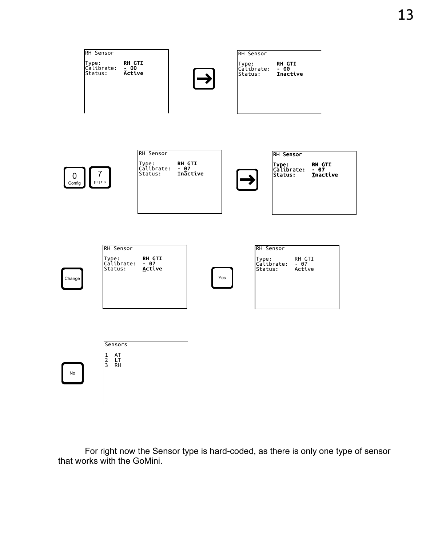

 For right now the Sensor type is hard-coded, as there is only one type of sensor that works with the GoMini.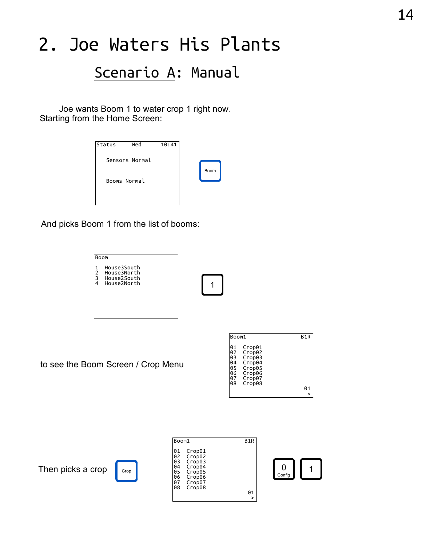# 2. Joe Waters His Plants

#### Scenario A: Manual

 Joe wants Boom 1 to water crop 1 right now. Starting from the Home Screen:

| Status       | Wed            | 10:41 |      |  |
|--------------|----------------|-------|------|--|
|              | Sensors Normal |       |      |  |
|              |                |       | Boom |  |
| Booms Normal |                |       |      |  |
|              |                |       |      |  |

And picks Boom 1 from the list of booms:



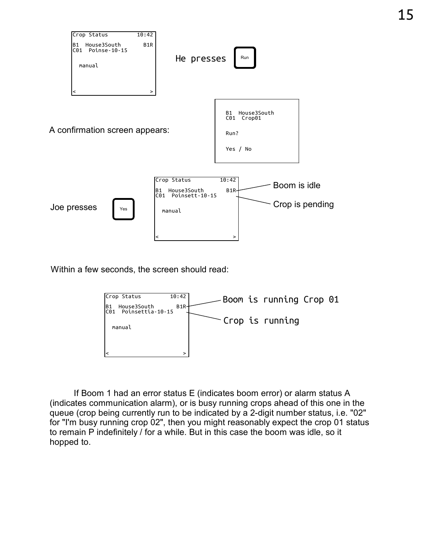

Within a few seconds, the screen should read:



 If Boom 1 had an error status E (indicates boom error) or alarm status A (indicates communication alarm), or is busy running crops ahead of this one in the queue (crop being currently run to be indicated by a 2-digit number status, i.e. "02" for "I'm busy running crop 02", then you might reasonably expect the crop 01 status to remain P indefinitely / for a while. But in this case the boom was idle, so it hopped to.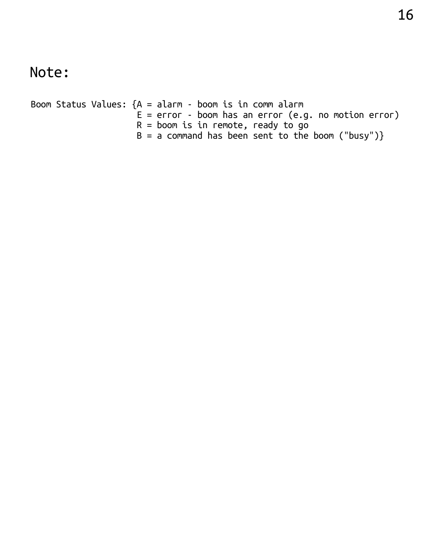#### Note:

Boom Status Values:  ${A = \text{alarm} - \text{boom is in comm alarm}}$  $E = error - boom$  has an error (e.g. no motion error)  $R =$  boom is in remote, ready to go  $B = a$  command has been sent to the boom ("busy")}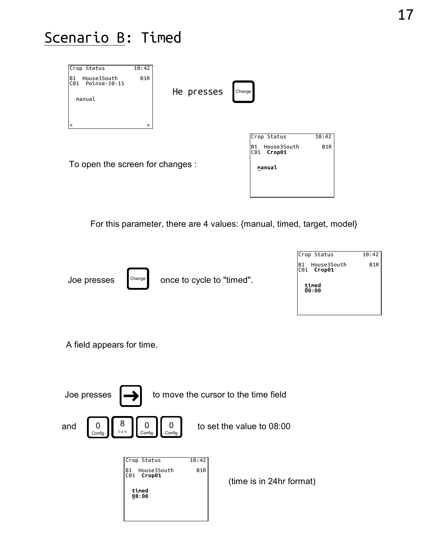#### Scenario B: Timed

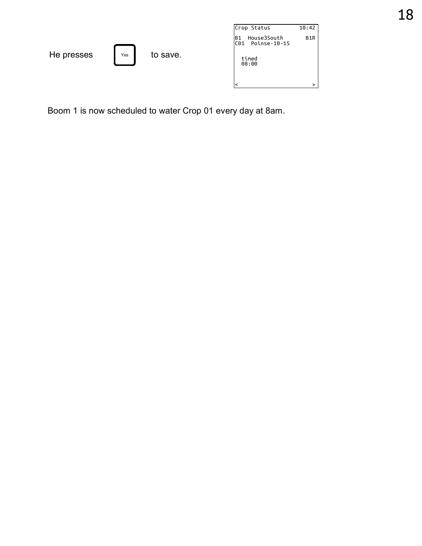|            |     |          | Crop Status                                           | 10:42 |
|------------|-----|----------|-------------------------------------------------------|-------|
|            |     |          | House3South<br>B <sub>1</sub><br>Poinse-10-15<br>IC01 | B1R   |
| He presses | Yes | to save. | timed<br>08:00                                        |       |
|            |     |          |                                                       | ↘     |

Boom 1 is now scheduled to water Crop 01 every day at 8am.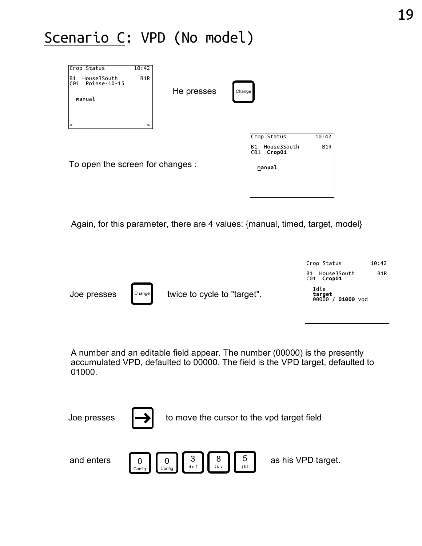#### Scenario C: VPD (No model)



Again, for this parameter, there are 4 values: {manual, timed, target, model}



A number and an editable field appear. The number (00000) is the presently accumulated VPD, defaulted to 00000. The field is the VPD target, defaulted to 01000.

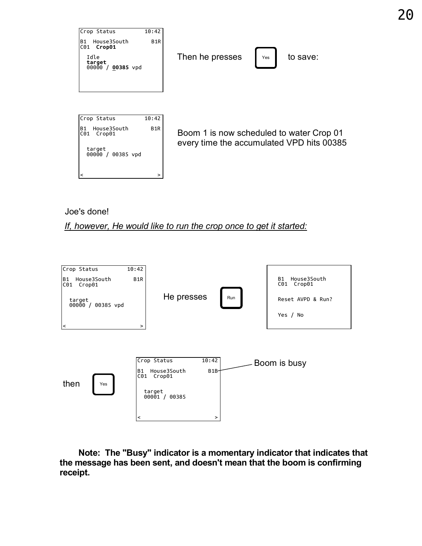

#### Joe's done!

If, however, He would like to run the crop once to get it started:



 Note: The "Busy" indicator is a momentary indicator that indicates that the message has been sent, and doesn't mean that the boom is confirming receipt.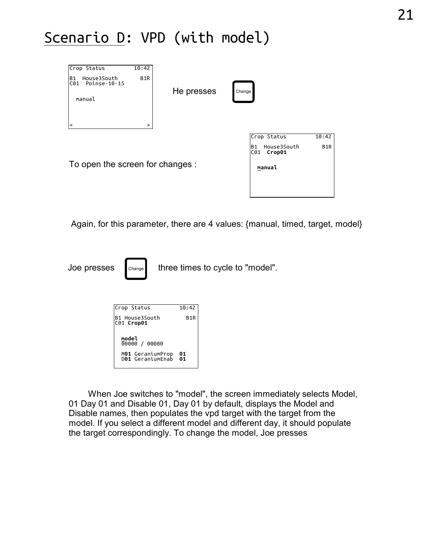### Scenario D: VPD (with model)

| Crop Status<br><b>B1</b><br>House3South<br>CO1<br>Poinse-10-15<br>manual<br>$\prec$ | 10:42<br>B <sub>1</sub> R<br>$\, >$ | He presses | Change                                                      |                           |
|-------------------------------------------------------------------------------------|-------------------------------------|------------|-------------------------------------------------------------|---------------------------|
| To open the screen for changes :                                                    |                                     |            | Crop Status<br>House3South<br>B1<br>Crop01<br>C01<br>manual | 10:42<br>B <sub>1</sub> R |

Again, for this parameter, there are 4 values: {manual, timed, target, model}

Joe presses change three times to cycle to "model".

| ś<br>Change                          |                  | three times to cycle to "model". |
|--------------------------------------|------------------|----------------------------------|
| Crop Status                          | 10:42            |                                  |
| B1 House3South<br> С01 <b>Сгор01</b> | B <sub>1</sub> R |                                  |
| model<br>00000 /<br>00080            |                  |                                  |
| M01 GeraniumProp<br>D01 GeraniumEnab | 01<br>01         |                                  |

 When Joe switches to "model", the screen immediately selects Model, 01 Day 01 and Disable 01, Day 01 by default, displays the Model and Disable names, then populates the vpd target with the target from the model. If you select a different model and different day, it should populate the target correspondingly. To change the model, Joe presses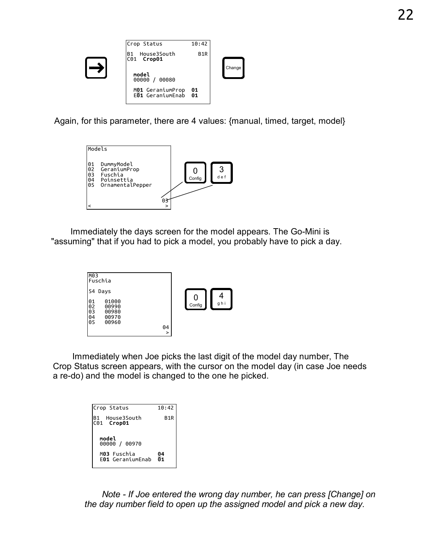

Again, for this parameter, there are 4 values: {manual, timed, target, model}



 Immediately the days screen for the model appears. The Go-Mini is "assuming" that if you had to pick a model, you probably have to pick a day.



Example 25 and the model is changed to the one he picked.<br>
B1 House3South B1R<br>
B1 House3South B1R<br>
B1 House3South B1R<br>
B1 House3South B1R<br>
C01 Crop01 Immediately when Joe picks the last digit of the model day number, The Crop Status screen appears, with the cursor on the model day (in case Joe needs a re-do) and the model is changed to the one he picked.

| Crop Status                                    | 10:42            |
|------------------------------------------------|------------------|
| House3South<br>B1<br>C <sub>01</sub><br>Сгор01 | B <sub>1</sub> R |
| model<br>00000 / 00970                         |                  |
| M03 Fuschia<br>F01 GeraniumFnab                | $\frac{04}{01}$  |

 Note - If Joe entered the wrong day number, he can press [Change] on the day number field to open up the assigned model and pick a new day.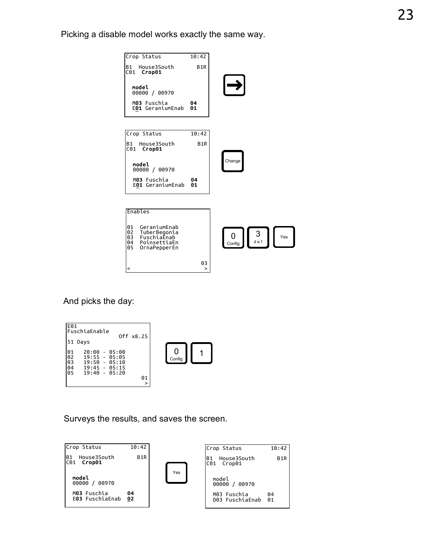Picking a disable model works exactly the same way.



And picks the day:

| IE01<br>lFuschiaEnable                                                                                                           |             |
|----------------------------------------------------------------------------------------------------------------------------------|-------------|
| Off x8.25<br>51 Days                                                                                                             |             |
| 101<br>20:00<br>- 05:00<br>102<br>$19:55 - 05:05$<br>103<br>19:50<br>- 05:10<br> 04<br> 05<br>$19:45 - 05:15$<br>$19:40 - 05:20$ | 0<br>Config |
| 01                                                                                                                               |             |
| >                                                                                                                                |             |



| <b>U4</b><br>נו.נט - נויכב<br>05<br>$19:40 - 05:20$ | 01<br>>          |     |                                     |                  |  |
|-----------------------------------------------------|------------------|-----|-------------------------------------|------------------|--|
| Surveys the results, and saves the screen.          |                  |     |                                     |                  |  |
| Crop Status                                         | 10:42            |     | Crop Status                         | 10:42            |  |
| House3South<br>B <sub>1</sub><br>C01<br>Crop01      | B <sub>1</sub> R |     | House3South<br>lB1<br>C01<br>Crop01 | B <sub>1</sub> R |  |
| model<br>00000 / 00970                              |                  | Yes | model<br>00000 / 00970              |                  |  |
| M03 Fuschia<br>E03 FuschiaEnab                      | 04<br>02         |     | M03 Fuschia<br>D03 FuschiaEnab      | 04<br>01         |  |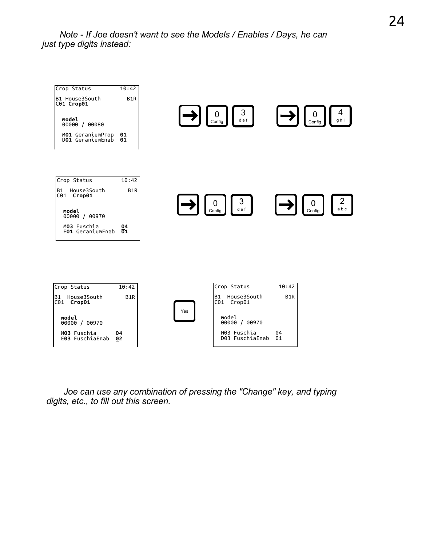Note - If Joe doesn't want to see the Models / Enables / Days, he can just type digits instead:



 Joe can use any combination of pressing the "Change" key, and typing digits, etc., to fill out this screen.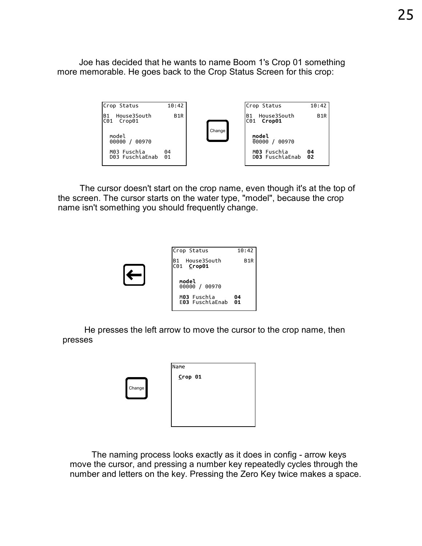Joe has decided that he wants to name Boom 1's Crop 01 something more memorable. He goes back to the Crop Status Screen for this crop:



on the crop name, even though it's at the top of<br>
on the water type, "model", because the crop<br>
uld frequently change.<br>
Crop Status 10:42<br>
B1 House3South B1R<br>
C01 Crop01 The cursor doesn't start on the crop name, even though it's at the top of the screen. The cursor starts on the water type, "model", because the crop name isn't something you should frequently change.

| Crop Status                            | 10:42            |
|----------------------------------------|------------------|
| House3South<br><b>B1</b><br>C01 Crop01 | B <sub>1</sub> R |
| model<br>00970<br>00000 /              |                  |
| M03 Fuschia<br>E03 FuschiaEnab         | 04<br>01         |

 He presses the left arrow to move the cursor to the crop name, then presses

|        | Name    |
|--------|---------|
|        | Crop 01 |
| Change |         |
|        |         |
|        |         |
|        |         |

 The naming process looks exactly as it does in config - arrow keys move the cursor, and pressing a number key repeatedly cycles through the number and letters on the key. Pressing the Zero Key twice makes a space.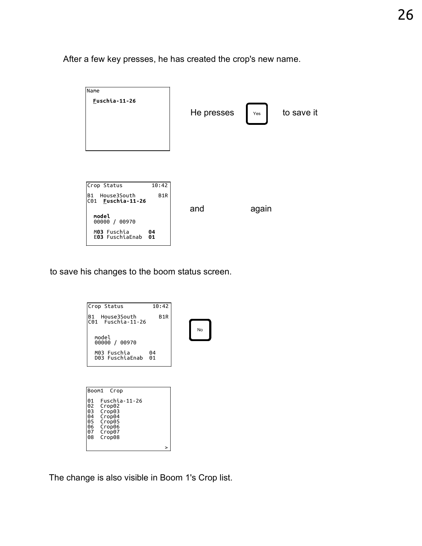After a few key presses, he has created the crop's new name.



to save his changes to the boom status screen.



The change is also visible in Boom 1's Crop list.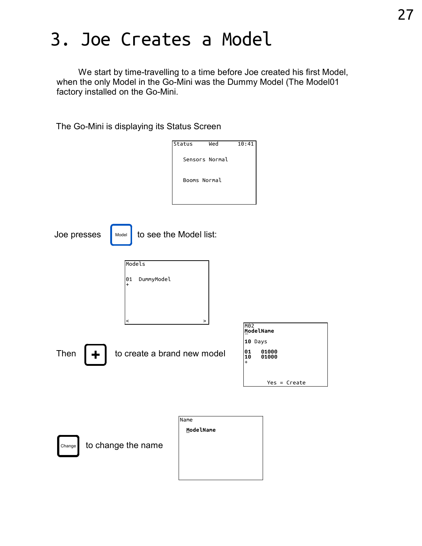# 3. Joe Creates a Model

 We start by time-travelling to a time before Joe created his first Model, when the only Model in the Go-Mini was the Dummy Model (The Model01 factory installed on the Go-Mini.

The Go-Mini is displaying its Status Screen

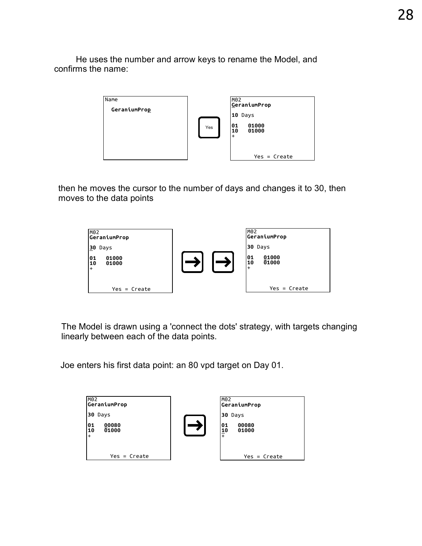He uses the number and arrow keys to rename the Model, and confirms the name:



then he moves the cursor to the number of days and changes it to 30, then moves to the data points



The Model is drawn using a 'connect the dots' strategy, with targets changing linearly between each of the data points.

Joe enters his first data point: an 80 vpd target on Day 01.

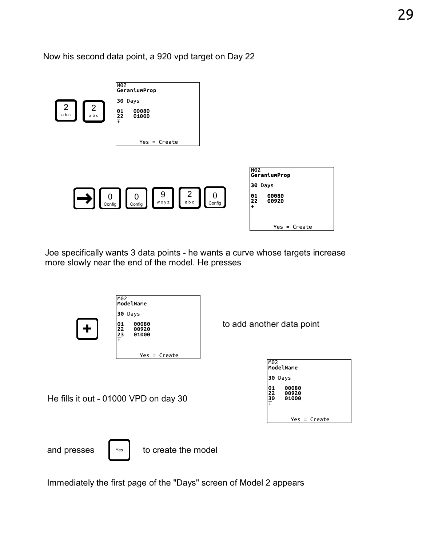Now his second data point, a 920 vpd target on Day 22



Joe specifically wants 3 data points - he wants a curve whose targets increase more slowly near the end of the model. He presses



Immediately the first page of the "Days" screen of Model 2 appears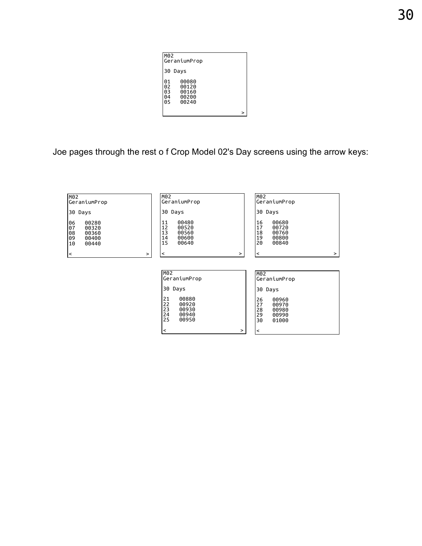| lm02                           | GeraniumProp                              |   |  |
|--------------------------------|-------------------------------------------|---|--|
|                                | 30 Days                                   |   |  |
| 101<br>102<br> 03<br>∣04<br>05 | 00080<br>00120<br>00160<br>00200<br>00240 |   |  |
|                                |                                           | > |  |

Joe pages through the rest o f Crop Model 02's Day screens using the arrow keys:

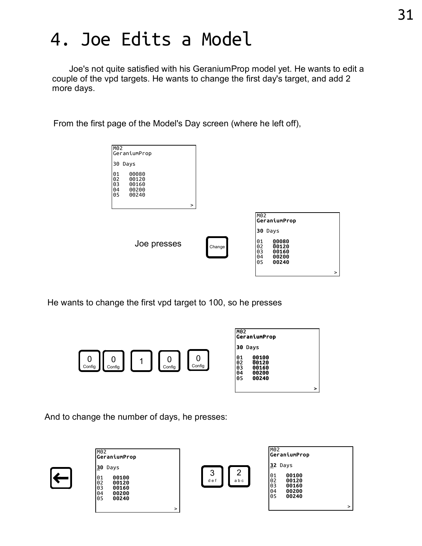# 4. Joe Edits a Model

 Joe's not quite satisfied with his GeraniumProp model yet. He wants to edit a couple of the vpd targets. He wants to change the first day's target, and add 2 more days.

From the first page of the Model's Day screen (where he left off),



He wants to change the first vpd target to 100, so he presses



And to change the number of days, he presses:

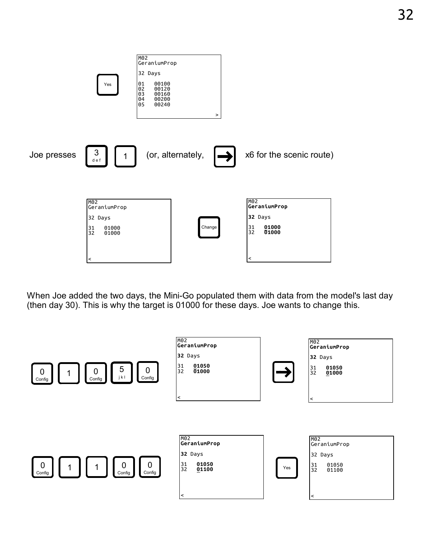

When Joe added the two days, the Mini-Go populated them with data from the model's last day (then day 30). This is why the target is 01000 for these days. Joe wants to change this.

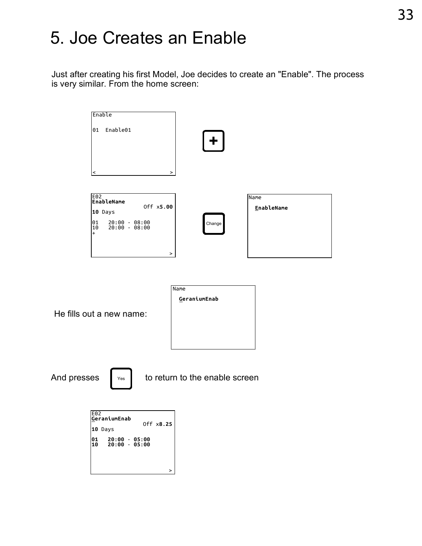# 5. Joe Creates an Enable

Just after creating his first Model, Joe decides to create an "Enable". The process is very similar. From the home screen:

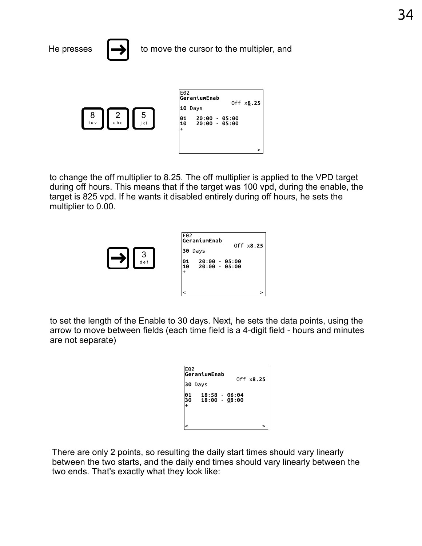

3 d e f

to change the off multiplier to 8.25. The off multiplier is applied to the VPD target during off hours. This means that if the target was 100 vpd, during the enable, the target is 825 vpd. If he wants it disabled entirely during off hours, he sets the multiplier to 0.00. The off multiplier is applied to the<br>
f the target was 100 vpd, during the<br>
abled entirely during off hours, he<br>
<u>E02</u><br>
GeraniumEnab<br>
30 Days<br>
01 20:00 - 05:00<br>
10 20:00 - 05:00<br>
10 20:00 - 05:00 The off multiplier is applied to the<br>
f the target was 100 vpd, during the<br>
abled entirely during off hours, he<br>
abled entirely during off hours, he<br>  $\frac{10}{20}$ <br>  $\frac{1}{20}$ <br>  $\frac{1}{20}$ <br>  $\frac{20:00}{20:00}$  - 05:00<br>  $\frac{1}{2$ 

| E02<br> GeraniumEnab<br>30<br>Days                   | Off x8.25 |  |
|------------------------------------------------------|-----------|--|
| $20:00 - 05:00$<br>101<br>$20:00 - 05:00$<br>10<br>+ |           |  |
| ≺                                                    | >         |  |

to set the length of the Enable to 30 days. Next, he sets the data points, using the arrow to move between fields (each time field is a 4-digit field - hours and minutes are not separate)

|                                                 |           | 0 days. Next, he sets the data point<br>h time field is a 4-digit field - hours $\overline{\phantom{a}}$ |
|-------------------------------------------------|-----------|----------------------------------------------------------------------------------------------------------|
| E02<br>GeraniumEnab                             |           |                                                                                                          |
| 30 Days                                         | Off x8.25 |                                                                                                          |
| 01<br> 30<br>$18:58 - 06:04$<br>$18:00 - 08:00$ |           |                                                                                                          |
| $\ddot{}$                                       |           |                                                                                                          |
| ≺                                               |           |                                                                                                          |
|                                                 |           |                                                                                                          |

There are only 2 points, so resulting the daily start times should vary linearly between the two starts, and the daily end times should vary linearly between the two ends. That's exactly what they look like: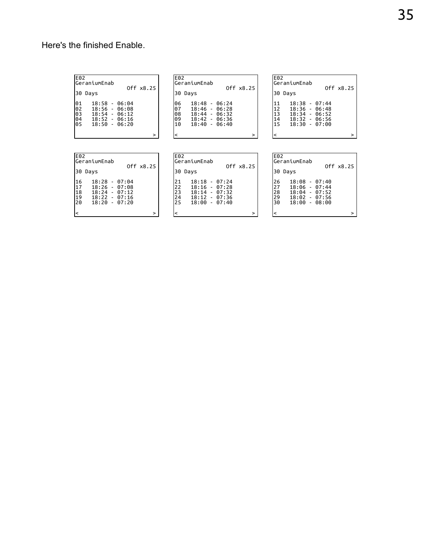#### Here's the finished Enable.

| IE02<br>lGeraniumEnab                    | Off x8.25                                                                         | lE02<br>lGeraniumEn                                                       |
|------------------------------------------|-----------------------------------------------------------------------------------|---------------------------------------------------------------------------|
| 130<br>Davs                              |                                                                                   | 30<br>Days                                                                |
| 101<br>102<br>lоз<br>18:54<br>104<br>los | $18:58 - 06:04$<br>$18:56 - 06:08$<br>- 06:12<br>$18:52 - 06:16$<br>18:50 - 06:20 | 18:48<br>106<br>07<br>18:46<br>108<br>18:44<br>09<br>18:42<br>10<br>18:40 |
|                                          |                                                                                   |                                                                           |

| E02                        | GeraniumEnab                                                                                |           | <b>E02</b>                    | lGeraniumEnab                                                                               | Off x8.25 | <b>E02</b>                 | lGeraniumEna                              |
|----------------------------|---------------------------------------------------------------------------------------------|-----------|-------------------------------|---------------------------------------------------------------------------------------------|-----------|----------------------------|-------------------------------------------|
| 30 Days                    |                                                                                             | Off x8.25 |                               | 30 Days                                                                                     |           |                            | 30 Days                                   |
| 01<br>02<br>03<br>04<br>05 | $18:58 - 06:04$<br>$18:56 - 06:08$<br>$18:54 - 06:12$<br>$18:52 - 06:16$<br>$18:50 - 06:20$ |           | 106<br>07<br>108<br>109<br>10 | $18:48 - 06:24$<br>$18:46 - 06:28$<br>$18:44 - 06:32$<br>$18:42 - 06:36$<br>$18:40 - 06:40$ |           | 11<br>12<br>13<br>14<br>15 | 18:38<br>18:36<br>18:34<br>18:32<br>18:30 |
|                            |                                                                                             | ⋗         |                               |                                                                                             | ↘         |                            |                                           |

| E02                                   | lGeraniumEnab                                                                               | Off x8.25 |  |
|---------------------------------------|---------------------------------------------------------------------------------------------|-----------|--|
| 30 Days                               |                                                                                             |           |  |
| 11<br>12<br>13<br>$\mathbf{14}$<br>15 | $18:38 - 07:44$<br>$18:36 - 06:48$<br>$18:34 - 06:52$<br>$18:32 - 06:56$<br>$18:30 - 07:00$ |           |  |
|                                       |                                                                                             | `         |  |

| IE02                     | IE02        |
|--------------------------|-------------|
| lGeraniumEnab            | lGeraniumEn |
| Off x8.25<br>130<br>Days | 30<br>Days  |
| 16                       | 21          |
| $18:28 - 07:04$          | 18:18       |
| 117                      | 22          |
| $18:26 - 07:08$          | 18:16       |
| 18                       | 23          |
| $18:24 - 07:12$          | 18:14       |
| 19                       | 24          |
| $18:22 - 07:16$          | 18:12       |
| 20                       | 25          |
| $18:20 - 07:20$          | 18:00       |
| >                        |             |

| E02                                      | lGeraniumEnab |                                                                                             |           | E02                        | lGeraniumEna                              |
|------------------------------------------|---------------|---------------------------------------------------------------------------------------------|-----------|----------------------------|-------------------------------------------|
| 30.                                      | Davs          |                                                                                             | Off x8.25 | 30                         | Days                                      |
| 21<br>$\frac{22}{23}$<br>$\frac{24}{25}$ |               | $18:18 - 07:24$<br>$18:16 - 07:28$<br>$18:14 - 07:32$<br>$18:12 - 07:36$<br>$18:00 - 07:40$ |           | 26<br>27<br>28<br>29<br>30 | 18:08<br>18:06<br>18:04<br>18:02<br>18:00 |
|                                          |               |                                                                                             | >         |                            |                                           |

| lE02<br>lGeraniumEnab                                                               | Off x8.25 |
|-------------------------------------------------------------------------------------|-----------|
| 130<br>Days                                                                         |           |
| $18:08 - 07:40$<br>$18:06 - 07:44$                                                  |           |
| 26<br>27<br>28<br>29<br>29<br>$18:04 - 07:52$<br>$18:02 - 07:56$<br>$18:00 - 08:00$ |           |
|                                                                                     | >         |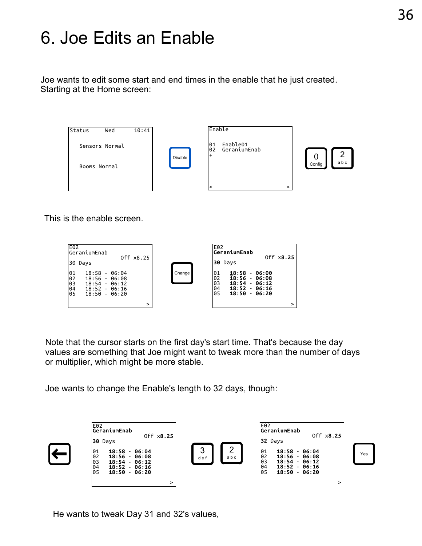### 6. Joe Edits an Enable

Joe wants to edit some start and end times in the enable that he just created. Starting at the Home screen:



This is the enable screen.



Note that the cursor starts on the first day's start time. That's because the day values are something that Joe might want to tweak more than the number of days or multiplier, which might be more stable.

Joe wants to change the Enable's length to 32 days, though:



He wants to tweak Day 31 and 32's values,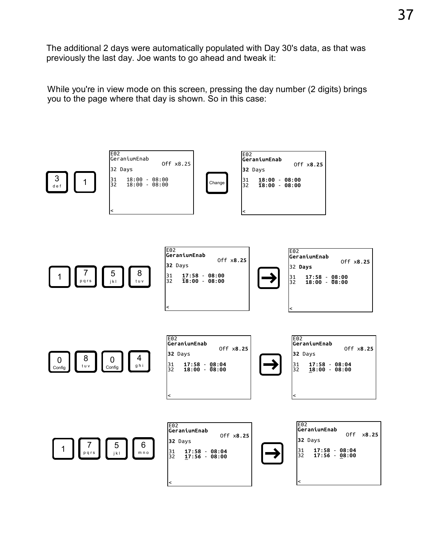The additional 2 days were automatically populated with Day 30's data, as that was previously the last day. Joe wants to go ahead and tweak it:

While you're in view mode on this screen, pressing the day number (2 digits) brings you to the page where that day is shown. So in this case:

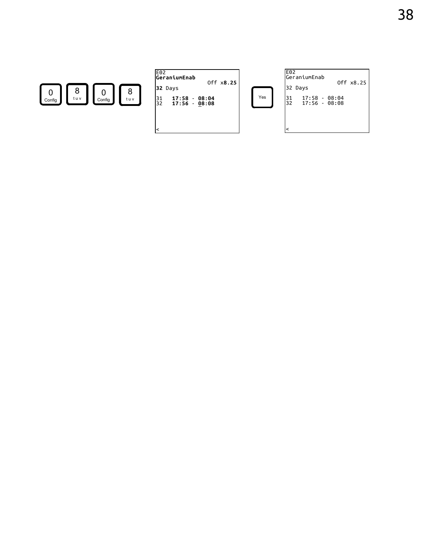

|                                          | E02<br>GeraniumEnab<br>Off x8.25                                                           |     | E            |
|------------------------------------------|--------------------------------------------------------------------------------------------|-----|--------------|
| 8<br>8<br>tuv<br>tuv<br>Config<br>Config | 32 Days<br>17:58<br>$\begin{array}{c} 31 \\ 32 \end{array}$<br>$-08:04$<br>$17:56 - 08:08$ | Yes | l3<br>د<br>3 |
|                                          | l<                                                                                         |     |              |

| E02<br>GeraniumEnab                          | Off x8.25 |
|----------------------------------------------|-----------|
| 32 Days                                      |           |
| 31<br>$17:58 - 08:04$<br>32<br>17:56 - 08:08 |           |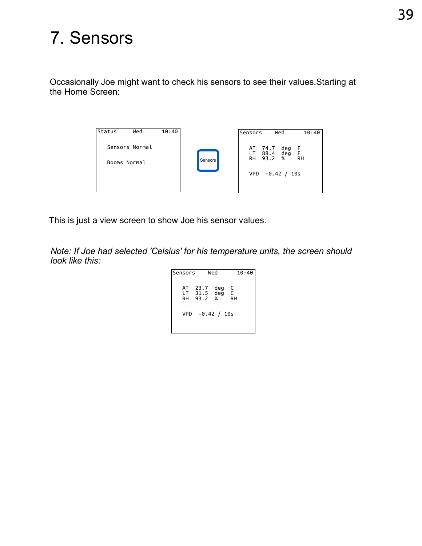# 7. Sensors

Occasionally Joe might want to check his sensors to see their values.Starting at the Home Screen:



This is just a view screen to show Joe his sensor values.

Note: If Joe had selected 'Celsius' for his temperature units, the screen should look like this:

```
Sensors Wed 10:40
 AT 23.7 deg C
 LT 31.5 deg C
 RH 93.2 % RH
    VPD +0.42 / 10s
```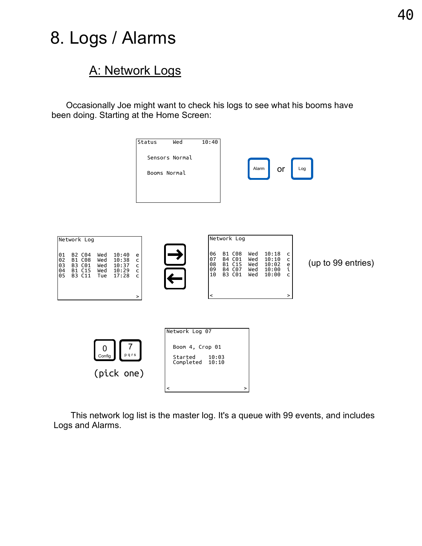### 8. Logs / Alarms

#### A: Network Logs

 Occasionally Joe might want to check his logs to see what his booms have been doing. Starting at the Home Screen:



 This network log list is the master log. It's a queue with 99 events, and includes Logs and Alarms.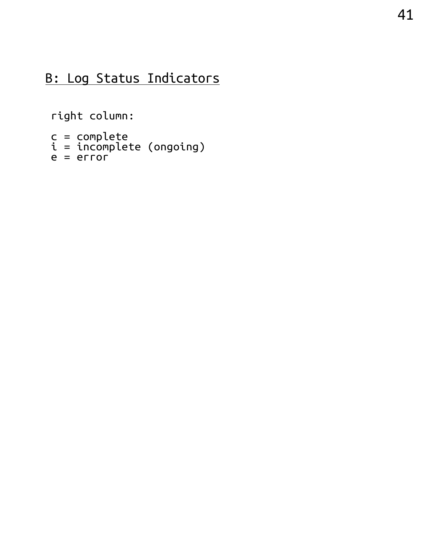#### B: Log Status Indicators

right column:

```
c = complete
i = incomplete (ongoing)
e = error
```